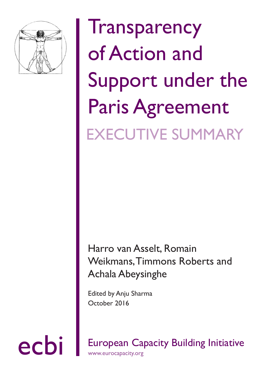

## **Transparency** of Action and Support under the Paris Agreement EXECUTIVE SUMMARY

## Harro van Asselt, Romain Weikmans, Timmons Roberts and Achala Abeysinghe

Edited by Anju Sharma October 2016

ecbi European Capacity Building Initiative www.eurocapacity.org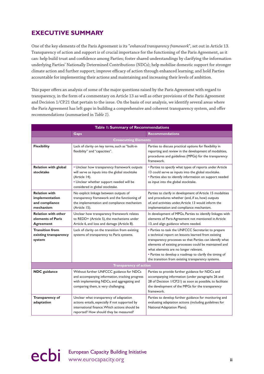## **EXECUTIVE SUMMARY**

One of the key elements of the Paris Agreement is its "*enhanced transparency framework*", set out in Article 13. Transparency of action and support is of crucial importance for the functioning of the Paris Agreement, as it can: help build trust and confidence among Parties; foster shared understandings by clarifying the information underlying Parties' Nationally Determined Contributions (NDCs); help mobilise domestic support for stronger climate action and further support; improve efficacy of action through enhanced learning; and hold Parties accountable for implementing their actions and maintaining and increasing their levels of ambition.

This paper offers an analysis of some of the major questions raised by the Paris Agreement with regard to transparency, in the form of a commentary on Article 13 as well as other provisions of the Paris Agreement and Decision 1/CP.21 that pertain to the issue. On the basis of our analysis, we identify several areas where the Paris Agreement has left gaps in building a comprehensive and coherent transparency system, and offer recommendations (summarised in *Table 1*).

| Table 1: Summary of Recommendations                                   |                                                                                                                                                                                                |                                                                                                                                                                                                                                                                                                                                                                                            |  |
|-----------------------------------------------------------------------|------------------------------------------------------------------------------------------------------------------------------------------------------------------------------------------------|--------------------------------------------------------------------------------------------------------------------------------------------------------------------------------------------------------------------------------------------------------------------------------------------------------------------------------------------------------------------------------------------|--|
|                                                                       | <b>Gaps</b>                                                                                                                                                                                    | <b>Recommendations</b>                                                                                                                                                                                                                                                                                                                                                                     |  |
| <b>Crosscutting Elements</b>                                          |                                                                                                                                                                                                |                                                                                                                                                                                                                                                                                                                                                                                            |  |
| <b>Flexibility</b>                                                    | Lack of clarity on key terms, such as "built-in<br>flexibility" and "capacities".                                                                                                              | Parties to discuss practical options for flexibility in<br>reporting and review in the development of modalities,<br>procedures and guidelines (MPGs) for the transparency<br>framework.                                                                                                                                                                                                   |  |
| <b>Relation with global</b><br>stocktake                              | • Unclear how transparency framework outputs<br>will serve as inputs into the global stocktake<br>(Article 14).<br>• Unclear whether support needed will be<br>considered in global stocktake. | • Parties to specify what types of reports under Article<br>13 could serve as inputs into the global stocktake.<br>• Parties also to identify information on support needed<br>as input into the global stocktake.                                                                                                                                                                         |  |
| <b>Relation with</b><br>implementation<br>and compliance<br>mechanism | No explicit linkage between outputs of<br>transparency framework and the functioning of<br>the implementation and compliance mechanism<br>(Article 15).                                        | Parties to clarify in development of Article 15 modalities<br>and procedures whether (and, if so, how) outputs<br>of, and activities under, Article 13 would inform the<br>implementation and compliance mechanism.                                                                                                                                                                        |  |
| <b>Relation with other</b><br>elements of Paris<br><b>Agreement</b>   | Unclear how transparency framework relates<br>to REDD+ (Article 5), the mechanisms under<br>Article 6, and loss and damage (Article 8).                                                        | In development of MPGs, Parties to identify linkages with<br>elements of Paris Agreement not mentioned in Article<br>13, and align guidance where needed.                                                                                                                                                                                                                                  |  |
| <b>Transition from</b><br>existing transparency<br>system             | Lack of clarity on the transition from existing<br>systems of transparency to Paris systems.                                                                                                   | • Parties to task the UNFCCC Secretariat to prepare<br>a technical report on lessons learned from existing<br>transparency processes so that Parties can identify what<br>elements of existing processes could be maintained and<br>what elements are no longer relevant.<br>• Parties to develop a roadmap to clarify the timing of<br>the transition from existing transparency systems. |  |
| <b>Transparency of action</b>                                         |                                                                                                                                                                                                |                                                                                                                                                                                                                                                                                                                                                                                            |  |
| <b>NDC</b> guidance                                                   | Without further UNFCCC guidance for NDCs<br>and accompanying information, tracking progress<br>with implementing NDCs, and aggregating and<br>comparing them, is very challenging.             | Parties to provide further guidance for NDCs and<br>accompanying information (under paragraphs 26 and<br>28 of Decision I/CP.21) as soon as possible, to facilitate<br>the development of the MPGs for the transparency<br>framework.                                                                                                                                                      |  |
| Transparency of<br>adaptation                                         | Unclear what transparency of adaptation<br>actions entails, especially if not supported by<br>international finance. Which actions should be<br>reported? How should they be measured?         | Parties to develop further guidance for monitoring and<br>evaluating adaptation actions (including guidelines for<br>National Adaptation Plans).                                                                                                                                                                                                                                           |  |